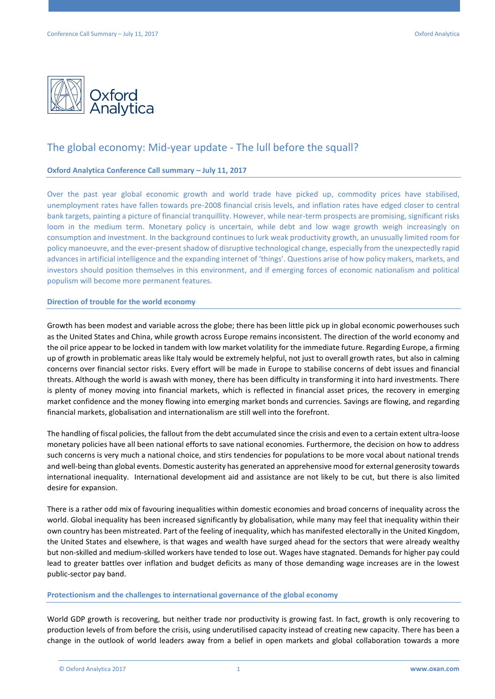

# The global economy: Mid-year update - The lull before the squall?

## **Oxford Analytica Conference Call summary – July 11, 2017**

Over the past year global economic growth and world trade have picked up, commodity prices have stabilised, unemployment rates have fallen towards pre-2008 financial crisis levels, and inflation rates have edged closer to central bank targets, painting a picture of financial tranquillity. However, while near-term prospects are promising, significant risks loom in the medium term. Monetary policy is uncertain, while debt and low wage growth weigh increasingly on consumption and investment. In the background continues to lurk weak productivity growth, an unusually limited room for policy manoeuvre, and the ever-present shadow of disruptive technological change, especially from the unexpectedly rapid advances in artificial intelligence and the expanding internet of 'things'. Questions arise of how policy makers, markets, and investors should position themselves in this environment, and if emerging forces of economic nationalism and political populism will become more permanent features.

#### **Direction of trouble for the world economy**

Growth has been modest and variable across the globe; there has been little pick up in global economic powerhouses such as the United States and China, while growth across Europe remains inconsistent. The direction of the world economy and the oil price appear to be locked in tandem with low market volatility for the immediate future. Regarding Europe, a firming up of growth in problematic areas like Italy would be extremely helpful, not just to overall growth rates, but also in calming concerns over financial sector risks. Every effort will be made in Europe to stabilise concerns of debt issues and financial threats. Although the world is awash with money, there has been difficulty in transforming it into hard investments. There is plenty of money moving into financial markets, which is reflected in financial asset prices, the recovery in emerging market confidence and the money flowing into emerging market bonds and currencies. Savings are flowing, and regarding financial markets, globalisation and internationalism are still well into the forefront.

The handling of fiscal policies, the fallout from the debt accumulated since the crisis and even to a certain extent ultra-loose monetary policies have all been national efforts to save national economies. Furthermore, the decision on how to address such concerns is very much a national choice, and stirs tendencies for populations to be more vocal about national trends and well-being than global events. Domestic austerity has generated an apprehensive mood for external generosity towards international inequality. International development aid and assistance are not likely to be cut, but there is also limited desire for expansion.

There is a rather odd mix of favouring inequalities within domestic economies and broad concerns of inequality across the world. Global inequality has been increased significantly by globalisation, while many may feel that inequality within their own country has been mistreated. Part of the feeling of inequality, which has manifested electorally in the United Kingdom, the United States and elsewhere, is that wages and wealth have surged ahead for the sectors that were already wealthy but non-skilled and medium-skilled workers have tended to lose out. Wages have stagnated. Demands for higher pay could lead to greater battles over inflation and budget deficits as many of those demanding wage increases are in the lowest public-sector pay band.

# **Protectionism and the challenges to international governance of the global economy**

World GDP growth is recovering, but neither trade nor productivity is growing fast. In fact, growth is only recovering to production levels of from before the crisis, using underutilised capacity instead of creating new capacity. There has been a change in the outlook of world leaders away from a belief in open markets and global collaboration towards a more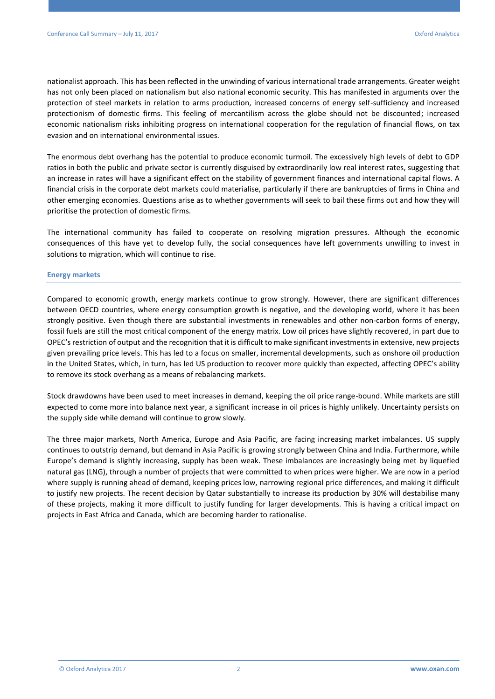nationalist approach. This has been reflected in the unwinding of various international trade arrangements. Greater weight has not only been placed on nationalism but also national economic security. This has manifested in arguments over the protection of steel markets in relation to arms production, increased concerns of energy self-sufficiency and increased protectionism of domestic firms. This feeling of mercantilism across the globe should not be discounted; increased economic nationalism risks inhibiting progress on international cooperation for the regulation of financial flows, on tax evasion and on international environmental issues.

The enormous debt overhang has the potential to produce economic turmoil. The excessively high levels of debt to GDP ratios in both the public and private sector is currently disguised by extraordinarily low real interest rates, suggesting that an increase in rates will have a significant effect on the stability of government finances and international capital flows. A financial crisis in the corporate debt markets could materialise, particularly if there are bankruptcies of firms in China and other emerging economies. Questions arise as to whether governments will seek to bail these firms out and how they will prioritise the protection of domestic firms.

The international community has failed to cooperate on resolving migration pressures. Although the economic consequences of this have yet to develop fully, the social consequences have left governments unwilling to invest in solutions to migration, which will continue to rise.

#### **Energy markets**

Compared to economic growth, energy markets continue to grow strongly. However, there are significant differences between OECD countries, where energy consumption growth is negative, and the developing world, where it has been strongly positive. Even though there are substantial investments in renewables and other non-carbon forms of energy, fossil fuels are still the most critical component of the energy matrix. Low oil prices have slightly recovered, in part due to OPEC's restriction of output and the recognition that it is difficult to make significant investments in extensive, new projects given prevailing price levels. This has led to a focus on smaller, incremental developments, such as onshore oil production in the United States, which, in turn, has led US production to recover more quickly than expected, affecting OPEC's ability to remove its stock overhang as a means of rebalancing markets.

Stock drawdowns have been used to meet increases in demand, keeping the oil price range-bound. While markets are still expected to come more into balance next year, a significant increase in oil prices is highly unlikely. Uncertainty persists on the supply side while demand will continue to grow slowly.

The three major markets, North America, Europe and Asia Pacific, are facing increasing market imbalances. US supply continues to outstrip demand, but demand in Asia Pacific is growing strongly between China and India. Furthermore, while Europe's demand is slightly increasing, supply has been weak. These imbalances are increasingly being met by liquefied natural gas (LNG), through a number of projects that were committed to when prices were higher. We are now in a period where supply is running ahead of demand, keeping prices low, narrowing regional price differences, and making it difficult to justify new projects. The recent decision by Qatar substantially to increase its production by 30% will destabilise many of these projects, making it more difficult to justify funding for larger developments. This is having a critical impact on projects in East Africa and Canada, which are becoming harder to rationalise.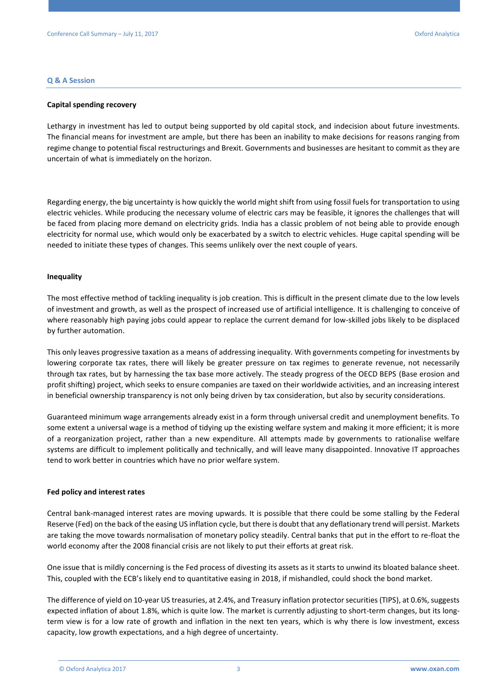#### **Q & A Session**

#### **Capital spending recovery**

Lethargy in investment has led to output being supported by old capital stock, and indecision about future investments. The financial means for investment are ample, but there has been an inability to make decisions for reasons ranging from regime change to potential fiscal restructurings and Brexit. Governments and businesses are hesitant to commit as they are uncertain of what is immediately on the horizon.

Regarding energy, the big uncertainty is how quickly the world might shift from using fossil fuels for transportation to using electric vehicles. While producing the necessary volume of electric cars may be feasible, it ignores the challenges that will be faced from placing more demand on electricity grids. India has a classic problem of not being able to provide enough electricity for normal use, which would only be exacerbated by a switch to electric vehicles. Huge capital spending will be needed to initiate these types of changes. This seems unlikely over the next couple of years.

#### **Inequality**

The most effective method of tackling inequality is job creation. This is difficult in the present climate due to the low levels of investment and growth, as well as the prospect of increased use of artificial intelligence. It is challenging to conceive of where reasonably high paying jobs could appear to replace the current demand for low-skilled jobs likely to be displaced by further automation.

This only leaves progressive taxation as a means of addressing inequality. With governments competing for investments by lowering corporate tax rates, there will likely be greater pressure on tax regimes to generate revenue, not necessarily through tax rates, but by harnessing the tax base more actively. The steady progress of the OECD BEPS (Base erosion and profit shifting) project, which seeks to ensure companies are taxed on their worldwide activities, and an increasing interest in beneficial ownership transparency is not only being driven by tax consideration, but also by security considerations.

Guaranteed minimum wage arrangements already exist in a form through universal credit and unemployment benefits. To some extent a universal wage is a method of tidying up the existing welfare system and making it more efficient; it is more of a reorganization project, rather than a new expenditure. All attempts made by governments to rationalise welfare systems are difficult to implement politically and technically, and will leave many disappointed. Innovative IT approaches tend to work better in countries which have no prior welfare system.

#### **Fed policy and interest rates**

Central bank-managed interest rates are moving upwards. It is possible that there could be some stalling by the Federal Reserve (Fed) on the back of the easing US inflation cycle, but there is doubt that any deflationary trend will persist. Markets are taking the move towards normalisation of monetary policy steadily. Central banks that put in the effort to re-float the world economy after the 2008 financial crisis are not likely to put their efforts at great risk.

One issue that is mildly concerning is the Fed process of divesting its assets as it starts to unwind its bloated balance sheet. This, coupled with the ECB's likely end to quantitative easing in 2018, if mishandled, could shock the bond market.

The difference of yield on 10-year US treasuries, at 2.4%, and Treasury inflation protector securities (TIPS), at 0.6%, suggests expected inflation of about 1.8%, which is quite low. The market is currently adjusting to short-term changes, but its longterm view is for a low rate of growth and inflation in the next ten years, which is why there is low investment, excess capacity, low growth expectations, and a high degree of uncertainty.